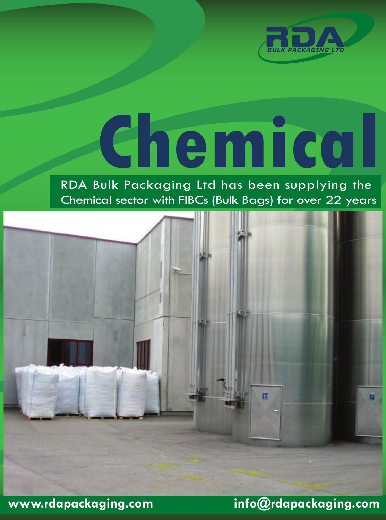

# **Chemical**

#### RDA Bulk Packaging Ltd has been supplying the Chemical sector with FIBCs (Bulk Bags) for over 22 years



**www.rdapackaging.com info@rdapackaging.com**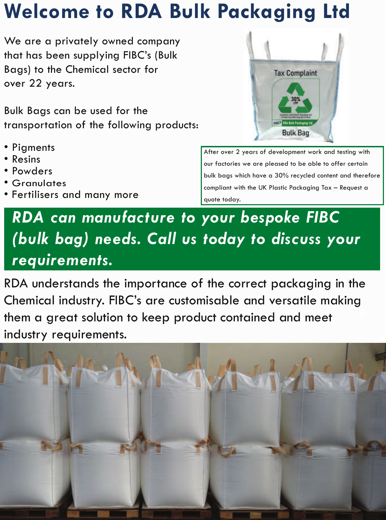## **Welcome to RDA Bulk Packaging Ltd**

We are a privately owned company that has been supplying FIBC's (Bulk Bags) to the Chemical sector for over 22 years.

Bulk Bags can be used for the transportation of the following products:

- Pigments<br>• Resins
- 
- Powders
- Granulates
- Fertilisers and many more



After over 2 years of development work and testing with our factories we are pleased to be able to offer certain bulk bags which have a 30% recycled content and therefore compliant with the UK Plastic Packaging Tax – Request a quote today.

### *RDA can manufacture to your bespoke FIBC (bulk bag) needs. Call us today to discuss your requirements.*

RDA understands the importance of the correct packaging in the Chemical industry. FIBC's are customisable and versatile making them a great solution to keep product contained and meet industry requirements.

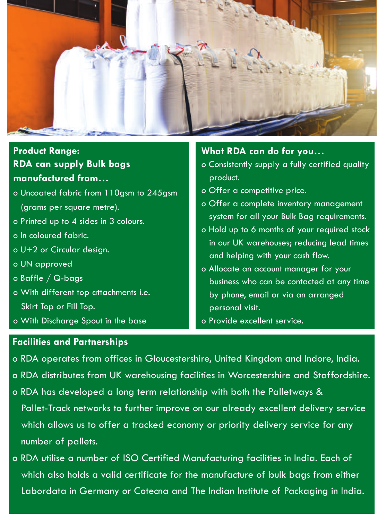

#### **RDA can supply Bulk bags manufactured from… Product Range:**

- o Uncoated fabric from 110gsm to 245gsm (grams per square metre).
- o Printed up to 4 sides in 3 colours.
- o In coloured fabric.
- o U+2 or Circular design.
- o UN approved
- o Baffle / Q-bags
- o With different top attachments i.e. Skirt Top or Fill Top.
- o With Discharge Spout in the base

#### **What RDA can do for you…**

- o Consistently supply a fully certified quality product.
- o Offer a competitive price.
- o Offer a complete inventory management system for all your Bulk Bag requirements.
- o Hold up to 6 months of your required stock in our UK warehouses; reducing lead times and helping with your cash flow.
- o Allocate an account manager for your business who can be contacted at any time by phone, email or via an arranged personal visit.
- o Provide excellent service.

#### **Facilities and Partnerships**

- o RDA operates from offices in Gloucestershire, United Kingdom and Indore, India.
- o RDA distributes from UK warehousing facilities in Worcestershire and Staffordshire.
- o RDA has developed a long term relationship with both the Palletways & Pallet-Track networks to further improve on our already excellent delivery service which allows us to offer a tracked economy or priority delivery service for any number of pallets.
- o RDA utilise a number of ISO Certified Manufacturing facilities in India. Each of which also holds a valid certificate for the manufacture of bulk bags from either Labordata in Germany or Cotecna and The Indian Institute of Packaging in India.